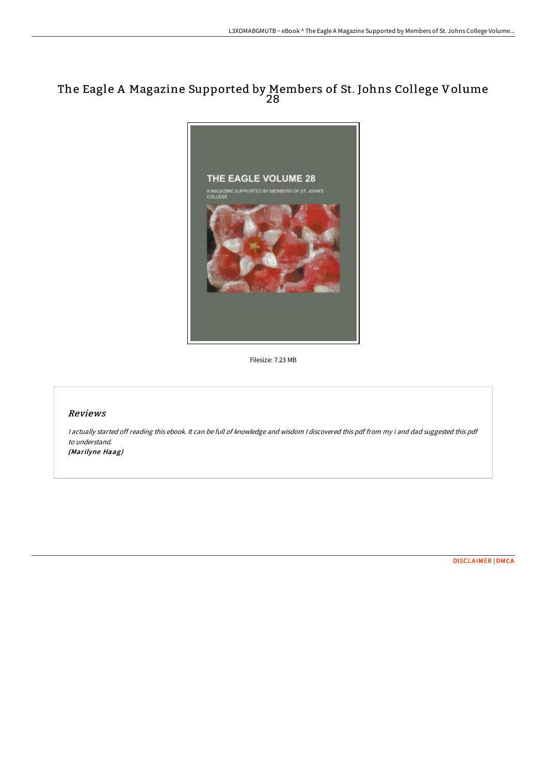## The Eagle A Magazine Supported by Members of St. Johns College Volume 28



Filesize: 7.23 MB

## Reviews

<sup>I</sup> actually started off reading this ebook. It can be full of knowledge and wisdom <sup>I</sup> discovered this pdf from my i and dad suggested this pdf to understand. (Marilyne Haag)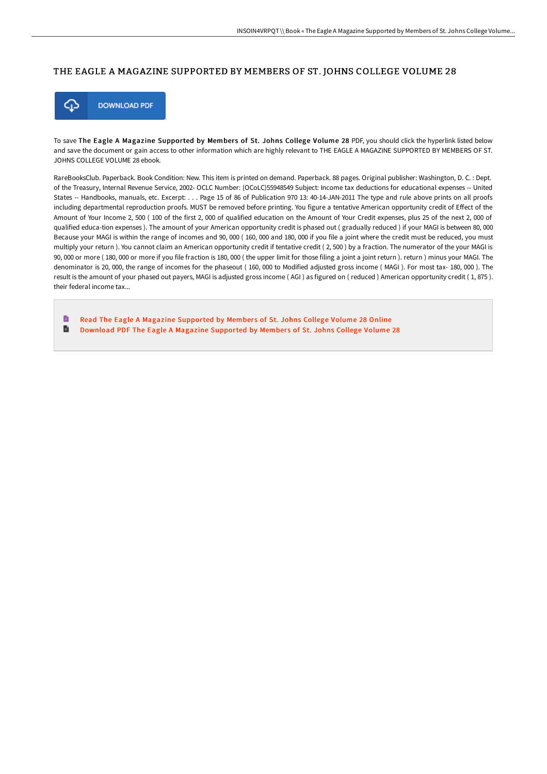## THE EAGLE A MAGAZINE SUPPORTED BY MEMBERS OF ST. JOHNS COLLEGE VOLUME 28



To save The Eagle A Magazine Supported by Members of St. Johns College Volume 28 PDF, you should click the hyperlink listed below and save the document or gain access to other information which are highly relevant to THE EAGLE A MAGAZINE SUPPORTED BY MEMBERS OF ST. JOHNS COLLEGE VOLUME 28 ebook.

RareBooksClub. Paperback. Book Condition: New. This item is printed on demand. Paperback. 88 pages. Original publisher: Washington, D. C. : Dept. of the Treasury, Internal Revenue Service, 2002- OCLC Number: (OCoLC)55948549 Subject: Income tax deductions for educational expenses -- United States -- Handbooks, manuals, etc. Excerpt: . . . Page 15 of 86 of Publication 970 13: 40-14-JAN-2011 The type and rule above prints on all proofs including departmental reproduction proofs. MUST be removed before printing. You figure a tentative American opportunity credit of Effect of the Amount of Your Income 2, 500 ( 100 of the first 2, 000 of qualified education on the Amount of Your Credit expenses, plus 25 of the next 2, 000 of qualified educa-tion expenses ). The amount of your American opportunity credit is phased out ( gradually reduced ) if your MAGI is between 80, 000 Because your MAGI is within the range of incomes and 90, 000 ( 160, 000 and 180, 000 if you file a joint where the credit must be reduced, you must multiply your return ). You cannot claim an American opportunity credit if tentative credit ( 2, 500 ) by a fraction. The numerator of the your MAGI is 90, 000 or more ( 180, 000 or more if you file fraction is 180, 000 ( the upper limit for those filing a joint a joint return ). return ) minus your MAGI. The denominator is 20, 000, the range of incomes for the phaseout ( 160, 000 to Modified adjusted gross income ( MAGI ). For most tax- 180, 000 ). The result is the amount of your phased out payers, MAGI is adjusted gross income ( AGI ) as figured on ( reduced ) American opportunity credit ( 1, 875 ). their federal income tax...

h Read The Eagle A Magazine [Supported](http://albedo.media/the-eagle-a-magazine-supported-by-members-of-st-.html) by Members of St. Johns College Volume 28 Online  $\blacksquare$ Download PDF The Eagle A Magazine [Supported](http://albedo.media/the-eagle-a-magazine-supported-by-members-of-st-.html) by Members of St. Johns College Volume 28